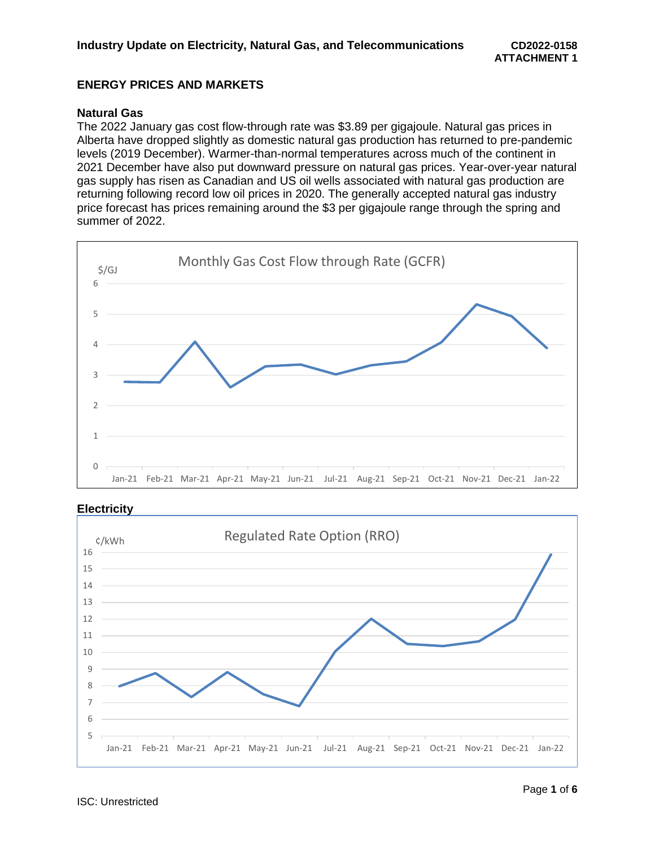# **ENERGY PRICES AND MARKETS**

### **Natural Gas**

The 2022 January gas cost flow-through rate was \$3.89 per gigajoule. Natural gas prices in Alberta have dropped slightly as domestic natural gas production has returned to pre-pandemic levels (2019 December). Warmer-than-normal temperatures across much of the continent in 2021 December have also put downward pressure on natural gas prices. Year-over-year natural gas supply has risen as Canadian and US oil wells associated with natural gas production are returning following record low oil prices in 2020. The generally accepted natural gas industry price forecast has prices remaining around the \$3 per gigajoule range through the spring and summer of 2022.



### **Electricity**

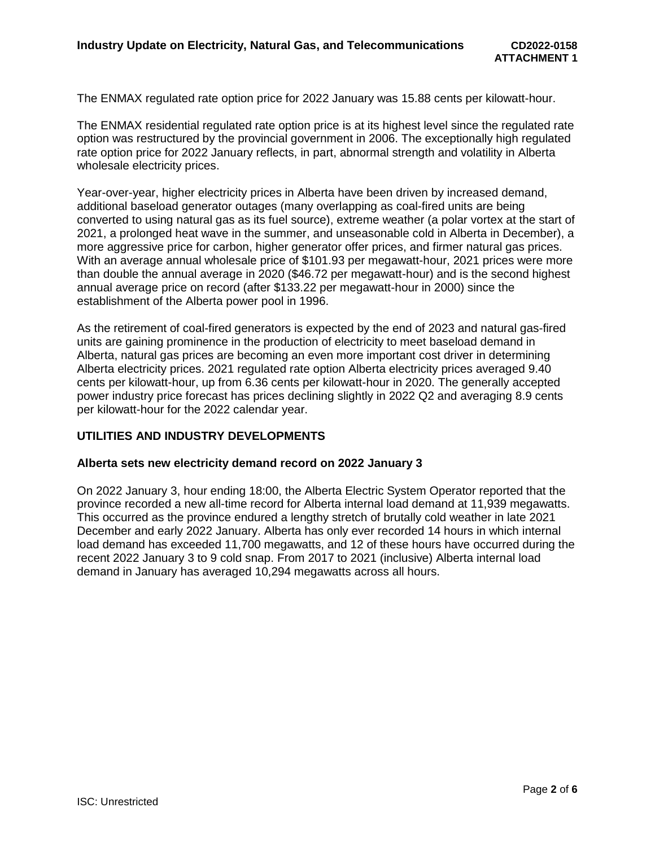The ENMAX regulated rate option price for 2022 January was 15.88 cents per kilowatt-hour.

The ENMAX residential regulated rate option price is at its highest level since the regulated rate option was restructured by the provincial government in 2006. The exceptionally high regulated rate option price for 2022 January reflects, in part, abnormal strength and volatility in Alberta wholesale electricity prices.

Year-over-year, higher electricity prices in Alberta have been driven by increased demand, additional baseload generator outages (many overlapping as coal-fired units are being converted to using natural gas as its fuel source), extreme weather (a polar vortex at the start of 2021, a prolonged heat wave in the summer, and unseasonable cold in Alberta in December), a more aggressive price for carbon, higher generator offer prices, and firmer natural gas prices. With an average annual wholesale price of \$101.93 per megawatt-hour, 2021 prices were more than double the annual average in 2020 (\$46.72 per megawatt-hour) and is the second highest annual average price on record (after \$133.22 per megawatt-hour in 2000) since the establishment of the Alberta power pool in 1996.

As the retirement of coal-fired generators is expected by the end of 2023 and natural gas-fired units are gaining prominence in the production of electricity to meet baseload demand in Alberta, natural gas prices are becoming an even more important cost driver in determining Alberta electricity prices. 2021 regulated rate option Alberta electricity prices averaged 9.40 cents per kilowatt-hour, up from 6.36 cents per kilowatt-hour in 2020. The generally accepted power industry price forecast has prices declining slightly in 2022 Q2 and averaging 8.9 cents per kilowatt-hour for the 2022 calendar year.

# **UTILITIES AND INDUSTRY DEVELOPMENTS**

### **Alberta sets new electricity demand record on 2022 January 3**

On 2022 January 3, hour ending 18:00, the Alberta Electric System Operator reported that the province recorded a new all-time record for Alberta internal load demand at 11,939 megawatts. This occurred as the province endured a lengthy stretch of brutally cold weather in late 2021 December and early 2022 January. Alberta has only ever recorded 14 hours in which internal load demand has exceeded 11,700 megawatts, and 12 of these hours have occurred during the recent 2022 January 3 to 9 cold snap. From 2017 to 2021 (inclusive) Alberta internal load demand in January has averaged 10,294 megawatts across all hours.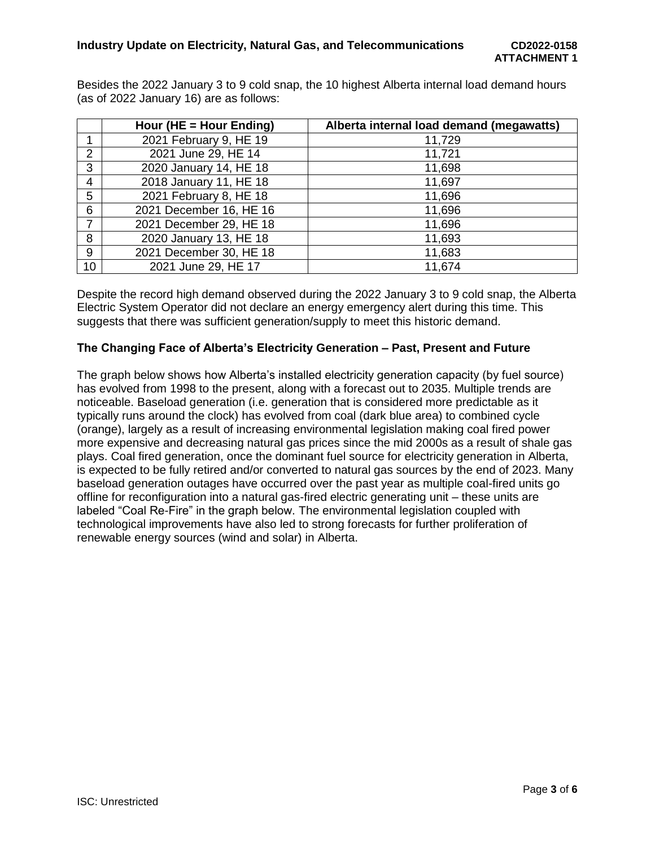Besides the 2022 January 3 to 9 cold snap, the 10 highest Alberta internal load demand hours (as of 2022 January 16) are as follows:

|                | Hour (HE = Hour Ending) | Alberta internal load demand (megawatts) |
|----------------|-------------------------|------------------------------------------|
|                | 2021 February 9, HE 19  | 11,729                                   |
| 2              | 2021 June 29, HE 14     | 11,721                                   |
| 3              | 2020 January 14, HE 18  | 11,698                                   |
| 4              | 2018 January 11, HE 18  | 11,697                                   |
| 5              | 2021 February 8, HE 18  | 11,696                                   |
| 6              | 2021 December 16, HE 16 | 11,696                                   |
| $\overline{7}$ | 2021 December 29, HE 18 | 11,696                                   |
| 8              | 2020 January 13, HE 18  | 11,693                                   |
| 9              | 2021 December 30, HE 18 | 11,683                                   |
| 10             | 2021 June 29, HE 17     | 11,674                                   |

Despite the record high demand observed during the 2022 January 3 to 9 cold snap, the Alberta Electric System Operator did not declare an energy emergency alert during this time. This suggests that there was sufficient generation/supply to meet this historic demand.

# **The Changing Face of Alberta's Electricity Generation – Past, Present and Future**

The graph below shows how Alberta's installed electricity generation capacity (by fuel source) has evolved from 1998 to the present, along with a forecast out to 2035. Multiple trends are noticeable. Baseload generation (i.e. generation that is considered more predictable as it typically runs around the clock) has evolved from coal (dark blue area) to combined cycle (orange), largely as a result of increasing environmental legislation making coal fired power more expensive and decreasing natural gas prices since the mid 2000s as a result of shale gas plays. Coal fired generation, once the dominant fuel source for electricity generation in Alberta, is expected to be fully retired and/or converted to natural gas sources by the end of 2023. Many baseload generation outages have occurred over the past year as multiple coal-fired units go offline for reconfiguration into a natural gas-fired electric generating unit – these units are labeled "Coal Re-Fire" in the graph below. The environmental legislation coupled with technological improvements have also led to strong forecasts for further proliferation of renewable energy sources (wind and solar) in Alberta.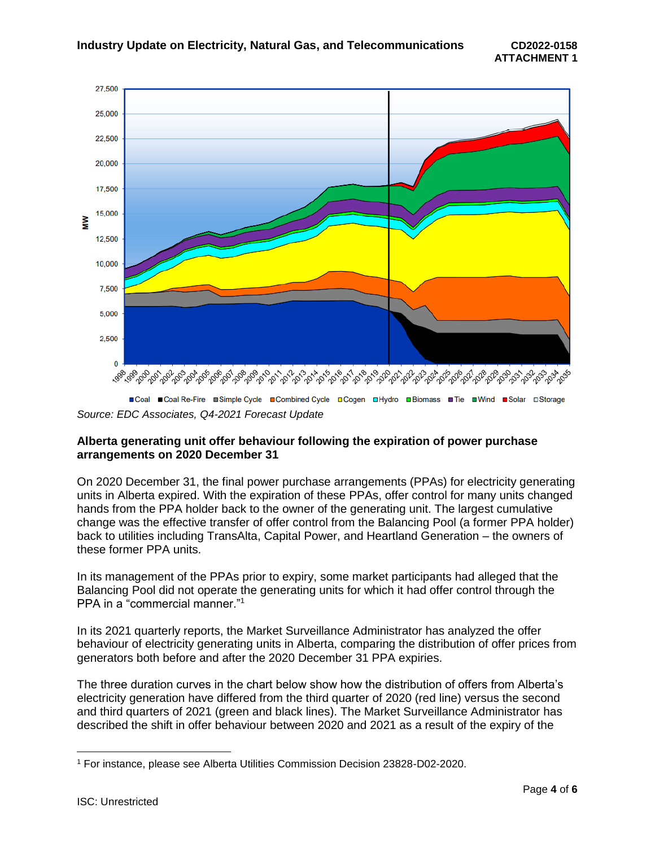

*Source: EDC Associates, Q4-2021 Forecast Update*

### **Alberta generating unit offer behaviour following the expiration of power purchase arrangements on 2020 December 31**

On 2020 December 31, the final power purchase arrangements (PPAs) for electricity generating units in Alberta expired. With the expiration of these PPAs, offer control for many units changed hands from the PPA holder back to the owner of the generating unit. The largest cumulative change was the effective transfer of offer control from the Balancing Pool (a former PPA holder) back to utilities including TransAlta, Capital Power, and Heartland Generation – the owners of these former PPA units.

In its management of the PPAs prior to expiry, some market participants had alleged that the Balancing Pool did not operate the generating units for which it had offer control through the PPA in a "commercial manner."<sup>1</sup>

In its 2021 quarterly reports, the Market Surveillance Administrator has analyzed the offer behaviour of electricity generating units in Alberta, comparing the distribution of offer prices from generators both before and after the 2020 December 31 PPA expiries.

The three duration curves in the chart below show how the distribution of offers from Alberta's electricity generation have differed from the third quarter of 2020 (red line) versus the second and third quarters of 2021 (green and black lines). The Market Surveillance Administrator has described the shift in offer behaviour between 2020 and 2021 as a result of the expiry of the

 $\overline{a}$ 

<sup>1</sup> For instance, please see Alberta Utilities Commission Decision 23828-D02-2020.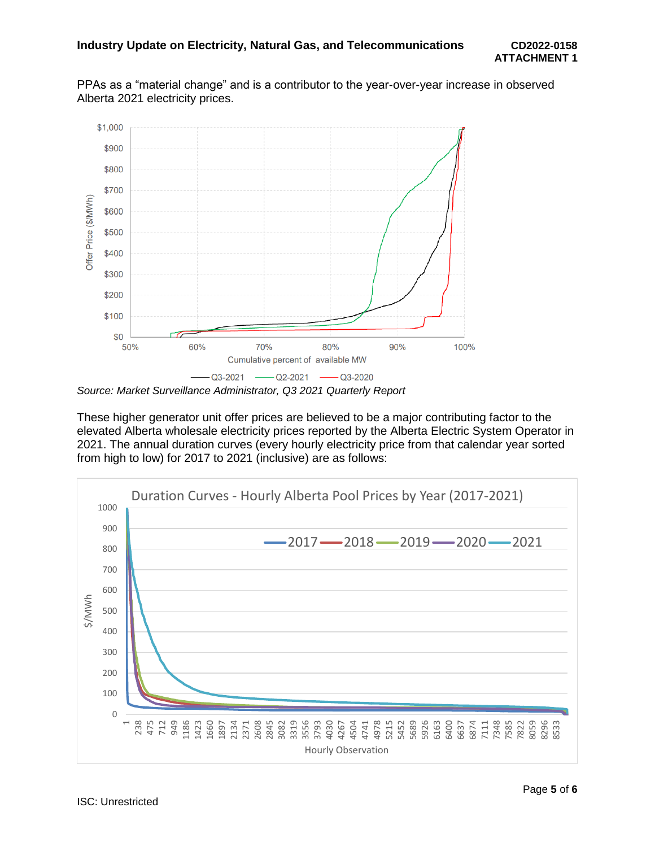PPAs as a "material change" and is a contributor to the year-over-year increase in observed Alberta 2021 electricity prices.



*Source: Market Surveillance Administrator, Q3 2021 Quarterly Report*

These higher generator unit offer prices are believed to be a major contributing factor to the elevated Alberta wholesale electricity prices reported by the Alberta Electric System Operator in 2021. The annual duration curves (every hourly electricity price from that calendar year sorted from high to low) for 2017 to 2021 (inclusive) are as follows: